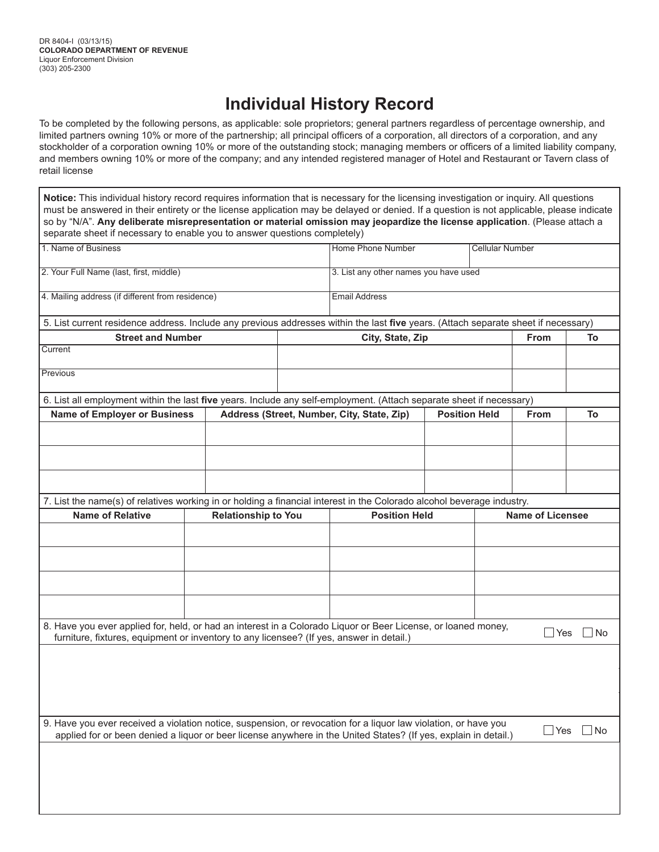## **Individual History Record**

To be completed by the following persons, as applicable: sole proprietors; general partners regardless of percentage ownership, and limited partners owning 10% or more of the partnership; all principal officers of a corporation, all directors of a corporation, and any stockholder of a corporation owning 10% or more of the outstanding stock; managing members or officers of a limited liability company, and members owning 10% or more of the company; and any intended registered manager of Hotel and Restaurant or Tavern class of retail license

**Notice:** This individual history record requires information that is necessary for the licensing investigation or inquiry. All questions must be answered in their entirety or the license application may be delayed or denied. If a question is not applicable, please indicate so by "N/A". **Any deliberate misrepresentation or material omission may jeopardize the license application**. (Please attach a separate sheet if necessary to enable you to answer questions completely)

| 1. Name of Business                                                                                                                                                                                                                |                            | <b>Home Phone Number</b>                   |                      |      | <b>Cellular Number</b>  |             |           |  |
|------------------------------------------------------------------------------------------------------------------------------------------------------------------------------------------------------------------------------------|----------------------------|--------------------------------------------|----------------------|------|-------------------------|-------------|-----------|--|
| 2. Your Full Name (last, first, middle)                                                                                                                                                                                            |                            | 3. List any other names you have used      |                      |      |                         |             |           |  |
| 4. Mailing address (if different from residence)                                                                                                                                                                                   |                            | <b>Email Address</b>                       |                      |      |                         |             |           |  |
| 5. List current residence address. Include any previous addresses within the last five years. (Attach separate sheet if necessary)                                                                                                 |                            |                                            |                      |      |                         |             |           |  |
| <b>Street and Number</b>                                                                                                                                                                                                           |                            | City, State, Zip                           |                      |      |                         | <b>From</b> | To        |  |
| Current                                                                                                                                                                                                                            |                            |                                            |                      |      |                         |             |           |  |
| Previous                                                                                                                                                                                                                           |                            |                                            |                      |      |                         |             |           |  |
| 6. List all employment within the last five years. Include any self-employment. (Attach separate sheet if necessary)                                                                                                               |                            |                                            |                      |      |                         |             |           |  |
| <b>Name of Employer or Business</b>                                                                                                                                                                                                |                            | Address (Street, Number, City, State, Zip) | <b>Position Held</b> | From | To                      |             |           |  |
|                                                                                                                                                                                                                                    |                            |                                            |                      |      |                         |             |           |  |
|                                                                                                                                                                                                                                    |                            |                                            |                      |      |                         |             |           |  |
|                                                                                                                                                                                                                                    |                            |                                            |                      |      |                         |             |           |  |
|                                                                                                                                                                                                                                    |                            |                                            |                      |      |                         |             |           |  |
| 7. List the name(s) of relatives working in or holding a financial interest in the Colorado alcohol beverage industry.                                                                                                             |                            |                                            |                      |      |                         |             |           |  |
| <b>Name of Relative</b>                                                                                                                                                                                                            | <b>Relationship to You</b> |                                            | <b>Position Held</b> |      | <b>Name of Licensee</b> |             |           |  |
|                                                                                                                                                                                                                                    |                            |                                            |                      |      |                         |             |           |  |
|                                                                                                                                                                                                                                    |                            |                                            |                      |      |                         |             |           |  |
|                                                                                                                                                                                                                                    |                            |                                            |                      |      |                         |             |           |  |
|                                                                                                                                                                                                                                    |                            |                                            |                      |      |                         |             |           |  |
|                                                                                                                                                                                                                                    |                            |                                            |                      |      |                         |             |           |  |
| 8. Have you ever applied for, held, or had an interest in a Colorado Liquor or Beer License, or loaned money,<br>furniture, fixtures, equipment or inventory to any licensee? (If yes, answer in detail.)                          |                            |                                            |                      |      |                         | $\Box$ Yes  | ∣No       |  |
|                                                                                                                                                                                                                                    |                            |                                            |                      |      |                         |             |           |  |
|                                                                                                                                                                                                                                    |                            |                                            |                      |      |                         |             |           |  |
|                                                                                                                                                                                                                                    |                            |                                            |                      |      |                         |             |           |  |
|                                                                                                                                                                                                                                    |                            |                                            |                      |      |                         |             |           |  |
|                                                                                                                                                                                                                                    |                            |                                            |                      |      |                         |             |           |  |
| 9. Have you ever received a violation notice, suspension, or revocation for a liquor law violation, or have you<br>applied for or been denied a liquor or beer license anywhere in the United States? (If yes, explain in detail.) |                            |                                            |                      |      |                         | $\Box$ Yes  | $\Box$ No |  |
|                                                                                                                                                                                                                                    |                            |                                            |                      |      |                         |             |           |  |
|                                                                                                                                                                                                                                    |                            |                                            |                      |      |                         |             |           |  |
|                                                                                                                                                                                                                                    |                            |                                            |                      |      |                         |             |           |  |